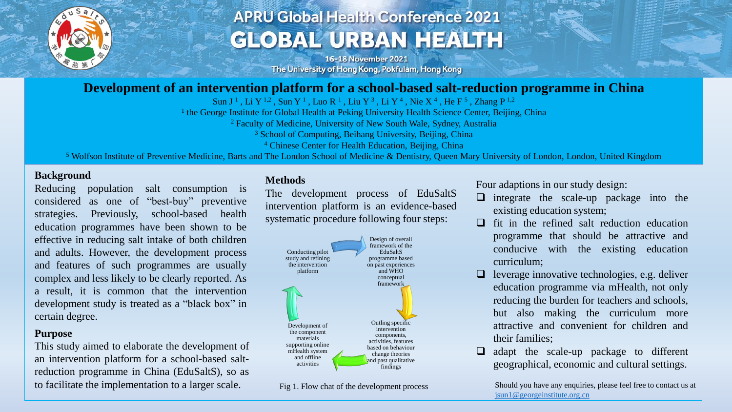

# **APRU Global Health Conference 2021 GLOBAL URBAN HEALTH**

16-18 November 2021 The University of Hong Kong, Pokfulam, Hong Kong

### **Development of an intervention platform for a school-based salt-reduction programme in China**

Sun J<sup>1</sup>, Li Y<sup>1,2</sup>, Sun Y<sup>1</sup>, Luo R<sup>1</sup>, Liu Y<sup>3</sup>, Li Y<sup>4</sup>, Nie X<sup>4</sup>, He F<sup>5</sup>, Zhang P<sup>1,2</sup>

<sup>1</sup> the George Institute for Global Health at Peking University Health Science Center, Beijing, China

<sup>2</sup> Faculty of Medicine, University of New South Wale, Sydney, Australia

<sup>3</sup> School of Computing, Beihang University, Beijing, China

<sup>4</sup> Chinese Center for Health Education, Beijing, China

<sup>5</sup> Wolfson Institute of Preventive Medicine, Barts and The London School of Medicine & Dentistry, Queen Mary University of London, London, United Kingdom

#### **Background**

Reducing population salt consumption is considered as one of "best-buy" preventive strategies. Previously, school-based health education programmes have been shown to be effective in reducing salt intake of both children and adults. However, the development process and features of such programmes are usually complex and less likely to be clearly reported. As a result, it is common that the intervention development study is treated as a "black box" in certain degree.

#### **Purpose**

This study aimed to elaborate the development of an intervention platform for a school-based saltreduction programme in China (EduSaltS), so as to facilitate the implementation to a larger scale. Fig. 1. Flow chat of the development process Should you have any enquiries, please feel free to contact us at

#### **Methods**

The development process of EduSaltS intervention platform is an evidence-based systematic procedure following four steps:



Fig 1. Flow chat of the development process

Four adaptions in our study design:

- ❑ integrate the scale-up package into the existing education system;
- $\Box$  fit in the refined salt reduction education programme that should be attractive and conducive with the existing education curriculum;
- $\Box$  leverage innovative technologies, e.g. deliver education programme via mHealth, not only reducing the burden for teachers and schools, but also making the curriculum more attractive and convenient for children and their families;
- ❑ adapt the scale-up package to different geographical, economic and cultural settings.

[jsun1@georgeinstitute.org.cn](mailto:jsun1@georgeinstitute.org.cn)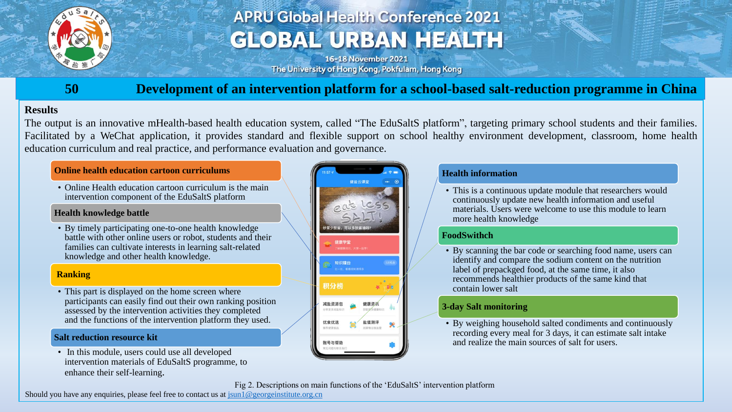

# **APRU Global Health Conference 2021 GLOBAL URBAN HEALTH**

16-18 November 2021 The University of Hong Kong, Pokfulam, Hong Kong

## **50 Development of an intervention platform for a school-based salt-reduction programme in China**

### **Results**

The output is an innovative mHealth-based health education system, called "The EduSaltS platform", targeting primary school students and their families. Facilitated by a WeChat application, it provides standard and flexible support on school healthy environment development, classroom, home health education curriculum and real practice, and performance evaluation and governance.

#### **Online health education cartoon curriculums**

• Online Health education cartoon curriculum is the main intervention component of the EduSaltS platform

#### **Health knowledge battle**

• By timely participating one-to-one health knowledge battle with other online users or robot, students and their families can cultivate interests in learning salt-related knowledge and other health knowledge.

#### **Ranking**

• This part is displayed on the home screen where participants can easily find out their own ranking position assessed by the intervention activities they completed and the functions of the intervention platform they used.

#### **Salt reduction resource kit**

• In this module, users could use all developed intervention materials of EduSaltS programme, to enhance their self-learning.



#### **Health information**

• This is a continuous update module that researchers would continuously update new health information and useful materials. Users were welcome to use this module to learn more health knowledge

#### **FoodSwithch**

• By scanning the bar code or searching food name, users can identify and compare the sodium content on the nutrition label of prepackged food, at the same time, it also recommends healthier products of the same kind that contain lower salt

#### **3-day Salt monitoring**

• By weighing household salted condiments and continuously recording every meal for 3 days, it can estimate salt intake and realize the main sources of salt for users.

Fig 2. Descriptions on main functions of the 'EduSaltS' intervention platform

Should you have any enquiries, please feel free to contact us at  $\frac{\sin 1}{\cos 2}$  georgeinstitute.org.cn